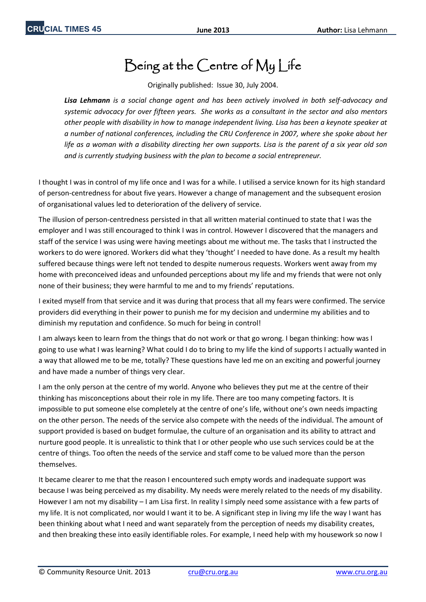## Being at the Centre of My Life

Originally published: Issue 30, July 2004.

*Lisa Lehmann is a social change agent and has been actively involved in both self-advocacy and systemic advocacy for over fifteen years. She works as a consultant in the sector and also mentors other people with disability in how to manage independent living. Lisa has been a keynote speaker at a number of national conferences, including the CRU Conference in 2007, where she spoke about her life as a woman with a disability directing her own supports. Lisa is the parent of a six year old son and is currently studying business with the plan to become a social entrepreneur.* 

I thought I was in control of my life once and I was for a while. I utilised a service known for its high standard of person-centredness for about five years. However a change of management and the subsequent erosion of organisational values led to deterioration of the delivery of service.

The illusion of person-centredness persisted in that all written material continued to state that I was the employer and I was still encouraged to think I was in control. However I discovered that the managers and staff of the service I was using were having meetings about me without me. The tasks that I instructed the workers to do were ignored. Workers did what they 'thought' I needed to have done. As a result my health suffered because things were left not tended to despite numerous requests. Workers went away from my home with preconceived ideas and unfounded perceptions about my life and my friends that were not only none of their business; they were harmful to me and to my friends' reputations.

I exited myself from that service and it was during that process that all my fears were confirmed. The service providers did everything in their power to punish me for my decision and undermine my abilities and to diminish my reputation and confidence. So much for being in control!

I am always keen to learn from the things that do not work or that go wrong. I began thinking: how was I going to use what I was learning? What could I do to bring to my life the kind of supports I actually wanted in a way that allowed me to be me, totally? These questions have led me on an exciting and powerful journey and have made a number of things very clear.

I am the only person at the centre of my world. Anyone who believes they put me at the centre of their thinking has misconceptions about their role in my life. There are too many competing factors. It is impossible to put someone else completely at the centre of one's life, without one's own needs impacting on the other person. The needs of the service also compete with the needs of the individual. The amount of support provided is based on budget formulae, the culture of an organisation and its ability to attract and nurture good people. It is unrealistic to think that I or other people who use such services could be at the centre of things. Too often the needs of the service and staff come to be valued more than the person themselves.

It became clearer to me that the reason I encountered such empty words and inadequate support was because I was being perceived as my disability. My needs were merely related to the needs of my disability. However I am not my disability – I am Lisa first. In reality I simply need some assistance with a few parts of my life. It is not complicated, nor would I want it to be. A significant step in living my life the way I want has been thinking about what I need and want separately from the perception of needs my disability creates, and then breaking these into easily identifiable roles. For example, I need help with my housework so now I